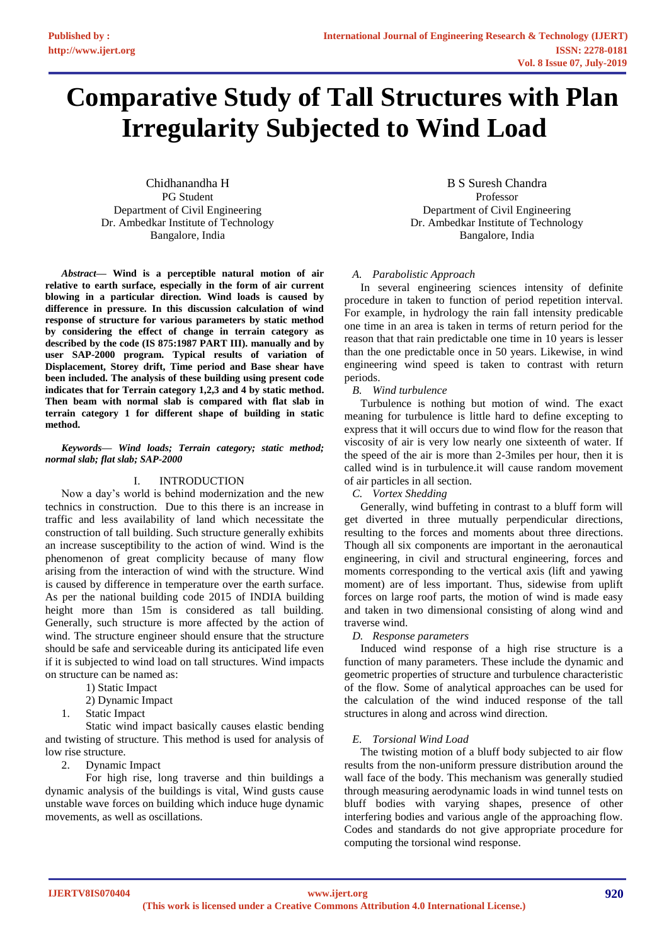# **Comparative Study of Tall Structures with Plan Irregularity Subjected to Wind Load**

Chidhanandha H PG Student Department of Civil Engineering Dr. Ambedkar Institute of Technology Bangalore, India

*Abstract***— Wind is a perceptible natural motion of air relative to earth surface, especially in the form of air current blowing in a particular direction. Wind loads is caused by difference in pressure. In this discussion calculation of wind response of structure for various parameters by static method by considering the effect of change in terrain category as described by the code (IS 875:1987 PART III). manually and by user SAP-2000 program. Typical results of variation of Displacement, Storey drift, Time period and Base shear have been included. The analysis of these building using present code indicates that for Terrain category 1,2,3 and 4 by static method. Then beam with normal slab is compared with flat slab in terrain category 1 for different shape of building in static method.**

## *Keywords— Wind loads; Terrain category; static method; normal slab; flat slab; SAP-2000*

# I. INTRODUCTION

Now a day's world is behind modernization and the new technics in construction. Due to this there is an increase in traffic and less availability of land which necessitate the construction of tall building. Such structure generally exhibits an increase susceptibility to the action of wind. Wind is the phenomenon of great complicity because of many flow arising from the interaction of wind with the structure. Wind is caused by difference in temperature over the earth surface. As per the national building code 2015 of INDIA building height more than 15m is considered as tall building. Generally, such structure is more affected by the action of wind. The structure engineer should ensure that the structure should be safe and serviceable during its anticipated life even if it is subjected to wind load on tall structures. Wind impacts on structure can be named as:

- 1) Static Impact
- 2) Dynamic Impact
- 1. Static Impact

Static wind impact basically causes elastic bending and twisting of structure. This method is used for analysis of low rise structure.

2. Dynamic Impact

For high rise, long traverse and thin buildings a dynamic analysis of the buildings is vital, Wind gusts cause unstable wave forces on building which induce huge dynamic movements, as well as oscillations.

B S Suresh Chandra Professor Department of Civil Engineering Dr. Ambedkar Institute of Technology Bangalore, India

# *A. Parabolistic Approach*

In several engineering sciences intensity of definite procedure in taken to function of period repetition interval. For example, in hydrology the rain fall intensity predicable one time in an area is taken in terms of return period for the reason that that rain predictable one time in 10 years is lesser than the one predictable once in 50 years. Likewise, in wind engineering wind speed is taken to contrast with return periods.

*B. Wind turbulence*

Turbulence is nothing but motion of wind. The exact meaning for turbulence is little hard to define excepting to express that it will occurs due to wind flow for the reason that viscosity of air is very low nearly one sixteenth of water. If the speed of the air is more than 2-3miles per hour, then it is called wind is in turbulence.it will cause random movement of air particles in all section.

*C. Vortex Shedding*

Generally, wind buffeting in contrast to a bluff form will get diverted in three mutually perpendicular directions, resulting to the forces and moments about three directions. Though all six components are important in the aeronautical engineering, in civil and structural engineering, forces and moments corresponding to the vertical axis (lift and yawing moment) are of less important. Thus, sidewise from uplift forces on large roof parts, the motion of wind is made easy and taken in two dimensional consisting of along wind and traverse wind.

# *D. Response parameters*

Induced wind response of a high rise structure is a function of many parameters. These include the dynamic and geometric properties of structure and turbulence characteristic of the flow. Some of analytical approaches can be used for the calculation of the wind induced response of the tall structures in along and across wind direction.

# *E. Torsional Wind Load*

The twisting motion of a bluff body subjected to air flow results from the non-uniform pressure distribution around the wall face of the body. This mechanism was generally studied through measuring aerodynamic loads in wind tunnel tests on bluff bodies with varying shapes, presence of other interfering bodies and various angle of the approaching flow. Codes and standards do not give appropriate procedure for computing the torsional wind response.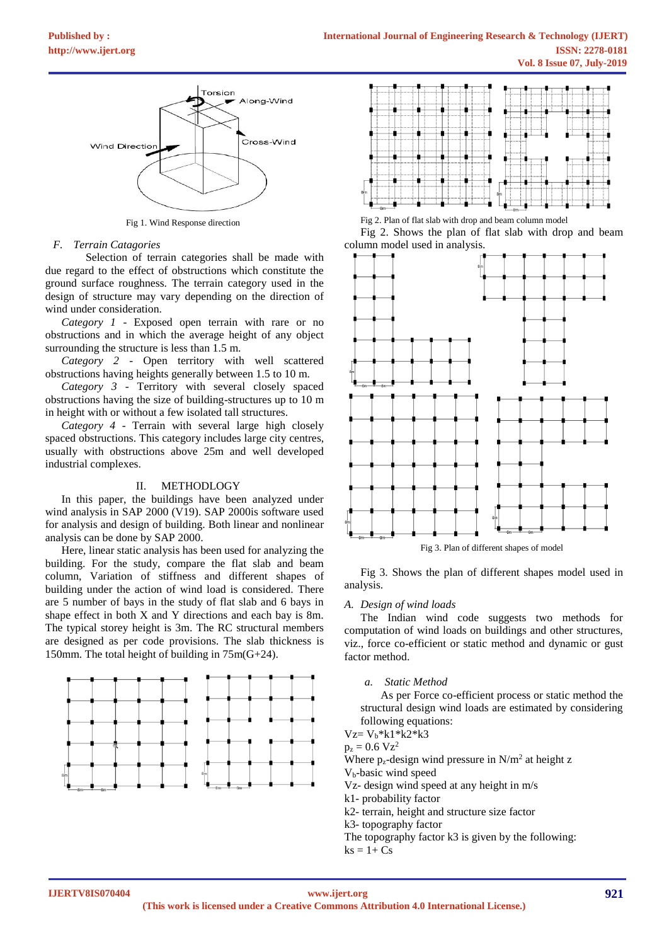

Fig 1. Wind Response direction

## *F. Terrain Catagories*

Selection of terrain categories shall be made with due regard to the effect of obstructions which constitute the ground surface roughness. The terrain category used in the design of structure may vary depending on the direction of wind under consideration.

*Category 1* - Exposed open terrain with rare or no obstructions and in which the average height of any object surrounding the structure is less than 1.5 m.

*Category 2* - Open territory with well scattered obstructions having heights generally between 1.5 to 10 m.

*Category 3* - Territory with several closely spaced obstructions having the size of building-structures up to 10 m in height with or without a few isolated tall structures.

*Category 4* - Terrain with several large high closely spaced obstructions. This category includes large city centres, usually with obstructions above 25m and well developed industrial complexes.

## II. METHODLOGY

In this paper, the buildings have been analyzed under wind analysis in SAP 2000 (V19). SAP 2000is software used for analysis and design of building. Both linear and nonlinear analysis can be done by SAP 2000.

Here, linear static analysis has been used for analyzing the building. For the study, compare the flat slab and beam column, Variation of stiffness and different shapes of building under the action of wind load is considered. There are 5 number of bays in the study of flat slab and 6 bays in shape effect in both X and Y directions and each bay is 8m. The typical storey height is 3m. The RC structural members are designed as per code provisions. The slab thickness is 150mm. The total height of building in 75m(G+24).





Fig 2. Plan of flat slab with drop and beam column model Fig 2. Shows the plan of flat slab with drop and beam column model used in analysis.



Fig 3. Shows the plan of different shapes model used in analysis.

#### *A. Design of wind loads*

The Indian wind code suggests two methods for computation of wind loads on buildings and other structures, viz., force co-efficient or static method and dynamic or gust factor method.

*a. Static Method* 

As per Force co-efficient process or static method the structural design wind loads are estimated by considering following equations:

 $Vz = V_h * k1 * k2 * k3$ 

 $p_z = 0.6 \text{ Vz}^2$ 

Where  $p_z$ -design wind pressure in  $N/m^2$  at height z

Vb-basic wind speed

Vz- design wind speed at any height in m/s

k1- probability factor

k2- terrain, height and structure size factor

k3- topography factor

The topography factor k3 is given by the following:

 $ks = 1 + Cs$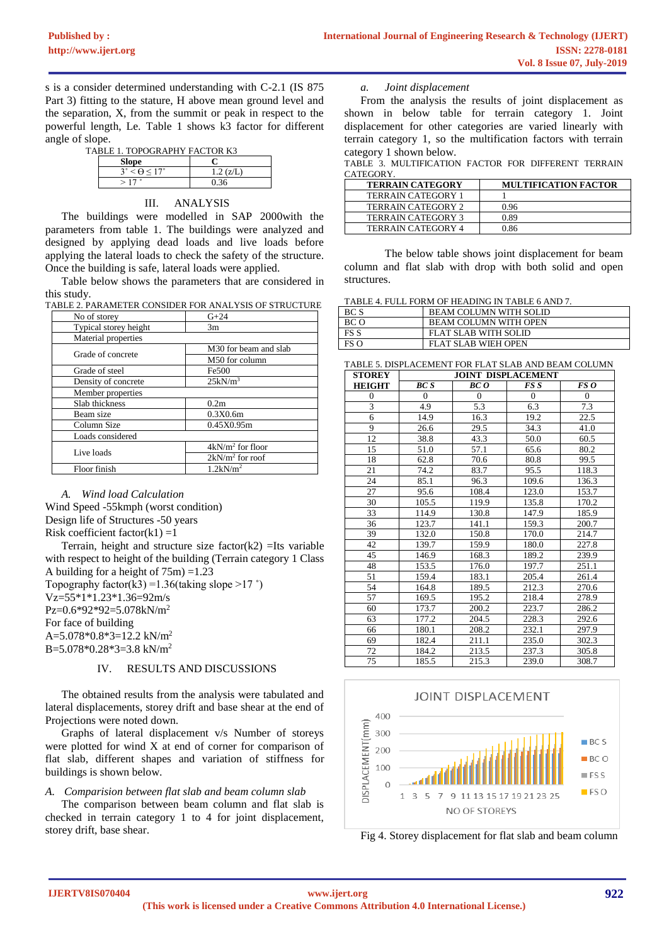s is a consider determined understanding with C-2.1 (IS 875 Part 3) fitting to the stature, H above mean ground level and the separation, X, from the summit or peak in respect to the powerful length, Le. Table 1 shows k3 factor for different angle of slope.

| TABLE 1. TOPOGRAPHY FACTOR K3 |  |
|-------------------------------|--|

| <b>Slope</b>                      |           |
|-----------------------------------|-----------|
| $3^{\circ} < \Theta < 17^{\circ}$ | 1.2 (Z/L) |
| $>17$ $^{\circ}$                  | 0.36      |

# III. ANALYSIS

The buildings were modelled in SAP 2000with the parameters from table 1. The buildings were analyzed and designed by applying dead loads and live loads before applying the lateral loads to check the safety of the structure. Once the building is safe, lateral loads were applied.

Table below shows the parameters that are considered in this study.

| TABLE 2. PARAMETER CONSIDER FOR ANALYSIS OF STRUCTURE |  |  |  |  |  |  |  |  |  |  |  |
|-------------------------------------------------------|--|--|--|--|--|--|--|--|--|--|--|
|                                                       |  |  |  |  |  |  |  |  |  |  |  |

| No of storey          | $G + 24$                |  |  |  |
|-----------------------|-------------------------|--|--|--|
| Typical storey height | 3m                      |  |  |  |
| Material properties   |                         |  |  |  |
| Grade of concrete     | M30 for beam and slab   |  |  |  |
|                       | M50 for column          |  |  |  |
| Grade of steel        | Fe500                   |  |  |  |
| Density of concrete   | 25kN/m <sup>3</sup>     |  |  |  |
| Member properties     |                         |  |  |  |
| Slab thickness        | 0.2 <sub>m</sub>        |  |  |  |
| Beam size             | 0.3X0.6m                |  |  |  |
| Column Size           | 0.45X0.95m              |  |  |  |
| Loads considered      |                         |  |  |  |
| Live loads            | $4kN/m2$ for floor      |  |  |  |
|                       | $2kN/m^2$ for roof      |  |  |  |
| Floor finish          | $1.2$ kN/m <sup>2</sup> |  |  |  |

#### *A. Wind load Calculation*

Wind Speed -55kmph (worst condition) Design life of Structures -50 years Risk coefficient factor $(k1) = 1$ 

Terrain, height and structure size factor $(k2)$  =Its variable with respect to height of the building (Terrain category 1 Class A building for a height of  $75m$ ) =1.23 Topography factor(k3) =  $1.36$ (taking slope > 17 °) Vz=55\*1\*1.23\*1.36=92m/s  $P_{Z}=0.6*92*92=5.078kN/m^{2}$ For face of building A=5.078\*0.8\*3=12.2 kN/m<sup>2</sup>  $B = 5.078*0.28*3 = 3.8$  kN/m<sup>2</sup>

# IV. RESULTS AND DISCUSSIONS

The obtained results from the analysis were tabulated and lateral displacements, storey drift and base shear at the end of Projections were noted down.

Graphs of lateral displacement v/s Number of storeys were plotted for wind X at end of corner for comparison of flat slab, different shapes and variation of stiffness for buildings is shown below.

*A. Comparision between flat slab and beam column slab*

The comparison between beam column and flat slab is checked in terrain category 1 to 4 for joint displacement, storey drift, base shear.

## *a. Joint displacement*

From the analysis the results of joint displacement as shown in below table for terrain category 1. Joint displacement for other categories are varied linearly with terrain category 1, so the multification factors with terrain category 1 shown below.

TABLE 3. MULTIFICATION FACTOR FOR DIFFERENT TERRAIN CATEGORY.

| <b>TERRAIN CATEGORY</b>   | <b>MULTIFICATION FACTOR</b> |
|---------------------------|-----------------------------|
| <b>TERRAIN CATEGORY 1</b> |                             |
| <b>TERRAIN CATEGORY 2</b> | 0.96                        |
| <b>TERRAIN CATEGORY 3</b> | 0.89                        |
| <b>TERRAIN CATEGORY 4</b> |                             |

The below table shows joint displacement for beam column and flat slab with drop with both solid and open structures.

TABLE 4. FULL FORM OF HEADING IN TABLE 6 AND 7.

| BC S | <b>BEAM COLUMN WITH SOLID</b> |
|------|-------------------------------|
| BC O | <b>BEAM COLUMN WITH OPEN</b>  |
| ES S | FLAT SLAB WITH SOLID          |
| FS O | FLAT SLAB WIEH OPEN           |

| <b>STOREY</b>           | <b>JOINT DISPLACEMENT</b> |                |                  |                |  |  |
|-------------------------|---------------------------|----------------|------------------|----------------|--|--|
| <b>HEIGHT</b>           | <b>BC</b> S               | BC O           | FS S             | FS O           |  |  |
| $\mathbf{0}$            | $\overline{0}$            | $\overline{0}$ | $\boldsymbol{0}$ | $\overline{0}$ |  |  |
| $\overline{\mathbf{3}}$ | 4.9                       | 5.3            | 6.3              | 7.3            |  |  |
| 6                       | 14.9                      | 16.3           | 19.2             | 22.5           |  |  |
| 9                       | 26.6                      | 29.5           | 34.3             | 41.0           |  |  |
| 12                      | 38.8                      | 43.3           | 50.0             | 60.5           |  |  |
| 15                      | 51.0                      | 57.1           | 65.6             | 80.2           |  |  |
| 18                      | 62.8                      | 70.6           | 80.8             | 99.5           |  |  |
| 21                      | 74.2                      | 83.7           | 95.5             | 118.3          |  |  |
| 24                      | 85.1                      | 96.3           | 109.6            | 136.3          |  |  |
| 27                      | 95.6                      | 108.4          | 123.0            | 153.7          |  |  |
| 30                      | 105.5                     | 119.9          | 135.8            | 170.2          |  |  |
| 33                      | 114.9                     | 130.8          | 147.9            | 185.9          |  |  |
| 36                      | 123.7                     | 141.1          | 159.3            | 200.7          |  |  |
| 39                      | 132.0                     | 150.8          | 170.0            | 214.7          |  |  |
| 42                      | 139.7                     | 159.9          | 180.0            | 227.8          |  |  |
| 45                      | 146.9                     | 168.3          | 189.2            | 239.9          |  |  |
| 48                      | 153.5                     | 176.0          | 197.7            | 251.1          |  |  |
| 51                      | 159.4                     | 183.1          | 205.4            | 261.4          |  |  |
| 54                      | 164.8                     | 189.5          | 212.3            | 270.6          |  |  |
| 57                      | 169.5                     | 195.2          | 218.4            | 278.9          |  |  |
| 60                      | 173.7                     | 200.2          | 223.7            | 286.2          |  |  |
| 63                      | 177.2                     | 204.5          | 228.3            | 292.6          |  |  |
| 66                      | 180.1                     | 208.2          | 232.1            | 297.9          |  |  |
| 69                      | 182.4                     | 211.1          | 235.0            | 302.3          |  |  |
| 72                      | 184.2                     | 213.5          | 237.3            | 305.8          |  |  |
| 75                      | 185.5                     | 215.3          | 239.0            | 308.7          |  |  |



Fig 4. Storey displacement for flat slab and beam column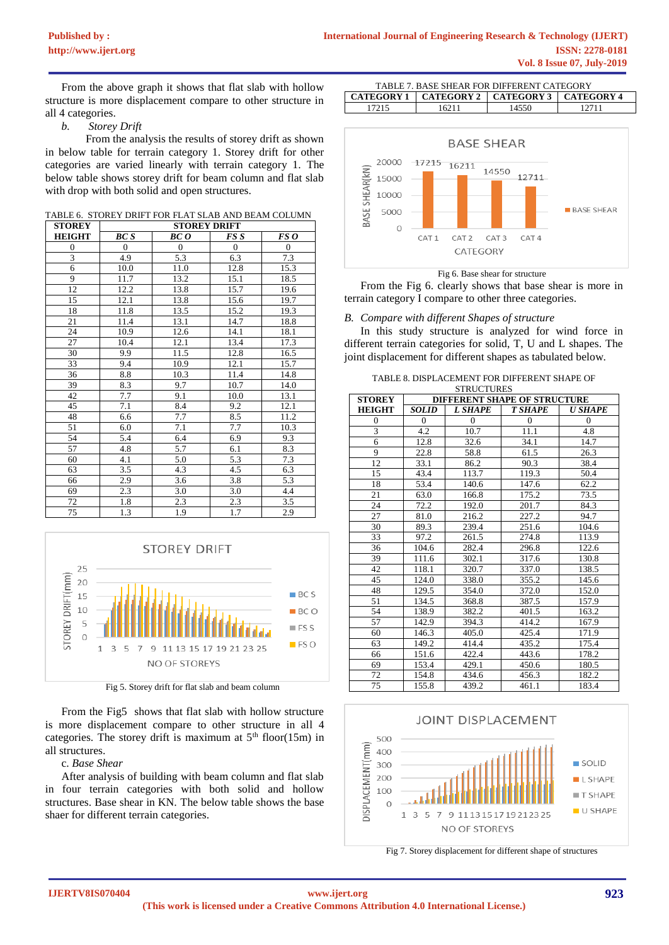From the above graph it shows that flat slab with hollow structure is more displacement compare to other structure in all 4 categories.

## *b. Storey Drift*

From the analysis the results of storey drift as shown in below table for terrain category 1. Storey drift for other categories are varied linearly with terrain category 1. The below table shows storey drift for beam column and flat slab with drop with both solid and open structures.

TABLE 6. STOREY DRIFT FOR FLAT SLAB AND BEAM COLUMN

| <b>STOREY</b>    |                  | <b>STOREY DRIFT</b> |                |          |  |  |  |
|------------------|------------------|---------------------|----------------|----------|--|--|--|
| <b>HEIGHT</b>    | <b>BC</b> S      | BC O                | FS S           | FS O     |  |  |  |
| $\boldsymbol{0}$ | $\overline{0}$   | $\overline{0}$      | $\overline{0}$ | $\theta$ |  |  |  |
| 3                | 4.9              | 5.3                 | 6.3            | 7.3      |  |  |  |
| 6                | 10.0             | 11.0                | 12.8           | 15.3     |  |  |  |
| 9                | 11.7             | 13.2                | 15.1           | 18.5     |  |  |  |
| 12               | 12.2             | 13.8                | 15.7           | 19.6     |  |  |  |
| 15               | 12.1             | 13.8                | 15.6           | 19.7     |  |  |  |
| 18               | 11.8             | 13.5                | 15.2           | 19.3     |  |  |  |
| 21               | 11.4             | 13.1                | 14.7           | 18.8     |  |  |  |
| 24               | 10.9             | 12.6                | 14.1           | 18.1     |  |  |  |
| 27               | 10.4             | 12.1                | 13.4           | 17.3     |  |  |  |
| 30               | 9.9              | 11.5                | 12.8           | 16.5     |  |  |  |
| 33               | 9.4              | 10.9                | 12.1           | 15.7     |  |  |  |
| 36               | $\!\!\!\!\!8.8$  | 10.3                | 11.4           | 14.8     |  |  |  |
| 39               | 8.3              | 9.7                 | 10.7           | 14.0     |  |  |  |
| 42               | 7.7              | 9.1                 | 10.0           | 13.1     |  |  |  |
| 45               | 7.1              | 8.4                 | 9.2            | 12.1     |  |  |  |
| 48               | 6.6              | 7.7                 | 8.5            | 11.2     |  |  |  |
| 51               | 6.0              | 7.1                 | 7.7            | 10.3     |  |  |  |
| 54               | 5.4              | 6.4                 | 6.9            | 9.3      |  |  |  |
| 57               | 4.8              | 5.7                 | 6.1            | 8.3      |  |  |  |
| 60               | 4.1              | 5.0                 | 5.3            | 7.3      |  |  |  |
| 63               | 3.5              | 4.3                 | 4.5            | 6.3      |  |  |  |
| 66               | 2.9              | 3.6                 | 3.8            | 5.3      |  |  |  |
| 69               | 2.3              | 3.0                 | $3.0\,$        | 4.4      |  |  |  |
| 72               | $\overline{1.8}$ | 2.3                 | 2.3            | 3.5      |  |  |  |
| 75               | 1.3              | 1.9                 | 1.7            | 2.9      |  |  |  |



Fig 5. Storey drift for flat slab and beam column

From the Fig5 shows that flat slab with hollow structure is more displacement compare to other structure in all 4 categories. The storey drift is maximum at  $5<sup>th</sup>$  floor(15m) in all structures.

c. *Base Shear*

After analysis of building with beam column and flat slab in four terrain categories with both solid and hollow structures. Base shear in KN. The below table shows the base shaer for different terrain categories.

| TABLE 7. BASE SHEAR FOR DIFFERENT CATEGORY        |       |       |       |  |  |  |  |  |
|---------------------------------------------------|-------|-------|-------|--|--|--|--|--|
| CATEGORY 1   CATEGORY 2   CATEGORY 3   CATEGORY 4 |       |       |       |  |  |  |  |  |
| 17215                                             | 16211 | 14550 | 12711 |  |  |  |  |  |



Fig 6. Base shear for structure

From the Fig 6. clearly shows that base shear is more in terrain category I compare to other three categories.

## *B. Compare with different Shapes of structure*

In this study structure is analyzed for wind force in different terrain categories for solid, T, U and L shapes. The joint displacement for different shapes as tabulated below.

| TABLE 8. DISPLACEMENT FOR DIFFERENT SHAPE OF |
|----------------------------------------------|
| <b>STRUCTURES</b>                            |

|                | <b>DINUCTURED</b><br><b>STOREY</b><br><b>DIFFERENT SHAPE OF STRUCTURE</b> |                |                |                |  |  |  |  |  |  |
|----------------|---------------------------------------------------------------------------|----------------|----------------|----------------|--|--|--|--|--|--|
| <b>HEIGHT</b>  | <b>SOLID</b>                                                              | L SHAPE        | <b>T SHAPE</b> | U SHAPE        |  |  |  |  |  |  |
| $\overline{0}$ | $\overline{0}$                                                            | $\overline{0}$ | $\mathbf{0}$   | $\overline{0}$ |  |  |  |  |  |  |
| 3              | 4.2                                                                       | 10.7           | 11.1           | 4.8            |  |  |  |  |  |  |
| 6              | 12.8                                                                      | 32.6           | 34.1           | 14.7           |  |  |  |  |  |  |
| 9              | 22.8                                                                      | 58.8           | 61.5           | 26.3           |  |  |  |  |  |  |
| 12             | 33.1                                                                      | 86.2           | 90.3           | 38.4           |  |  |  |  |  |  |
| 15             | 43.4                                                                      | 113.7          | 119.3          | 50.4           |  |  |  |  |  |  |
| 18             | 53.4                                                                      | 140.6          | 147.6          | 62.2           |  |  |  |  |  |  |
| 21             | 63.0                                                                      | 166.8          | 175.2          | 73.5           |  |  |  |  |  |  |
| 24             | 72.2                                                                      | 192.0          | 201.7          | 84.3           |  |  |  |  |  |  |
| 27             | 81.0                                                                      | 216.2          | 227.2          | 94.7           |  |  |  |  |  |  |
| 30             | 89.3                                                                      | 239.4          | 251.6          | 104.6          |  |  |  |  |  |  |
| 33             | 97.2                                                                      | 261.5          | 274.8          | 113.9          |  |  |  |  |  |  |
| 36             | 104.6                                                                     | 282.4          | 296.8          | 122.6          |  |  |  |  |  |  |
| 39             | 111.6                                                                     | 302.1          | 317.6          | 130.8          |  |  |  |  |  |  |
| 42             | 118.1                                                                     | 320.7          | 337.0          | 138.5          |  |  |  |  |  |  |
| 45             | 124.0                                                                     | 338.0          | 355.2          | 145.6          |  |  |  |  |  |  |
| 48             | 129.5                                                                     | 354.0          | 372.0          | 152.0          |  |  |  |  |  |  |
| 51             | 134.5                                                                     | 368.8          | 387.5          | 157.9          |  |  |  |  |  |  |
| 54             | 138.9                                                                     | 382.2          | 401.5          | 163.2          |  |  |  |  |  |  |
| 57             | 142.9                                                                     | 394.3          | 414.2          | 167.9          |  |  |  |  |  |  |
| 60             | 146.3                                                                     | 405.0          | 425.4          | 171.9          |  |  |  |  |  |  |
| 63             | 149.2                                                                     | 414.4          | 435.2          | 175.4          |  |  |  |  |  |  |
| 66             | 151.6                                                                     | 422.4          | 443.6          | 178.2          |  |  |  |  |  |  |
| 69             | 153.4                                                                     | 429.1          | 450.6          | 180.5          |  |  |  |  |  |  |
| 72             | 154.8                                                                     | 434.6          | 456.3          | 182.2          |  |  |  |  |  |  |
| 75             | 155.8                                                                     | 439.2          | 461.1          | 183.4          |  |  |  |  |  |  |



Fig 7. Storey displacement for different shape of structures